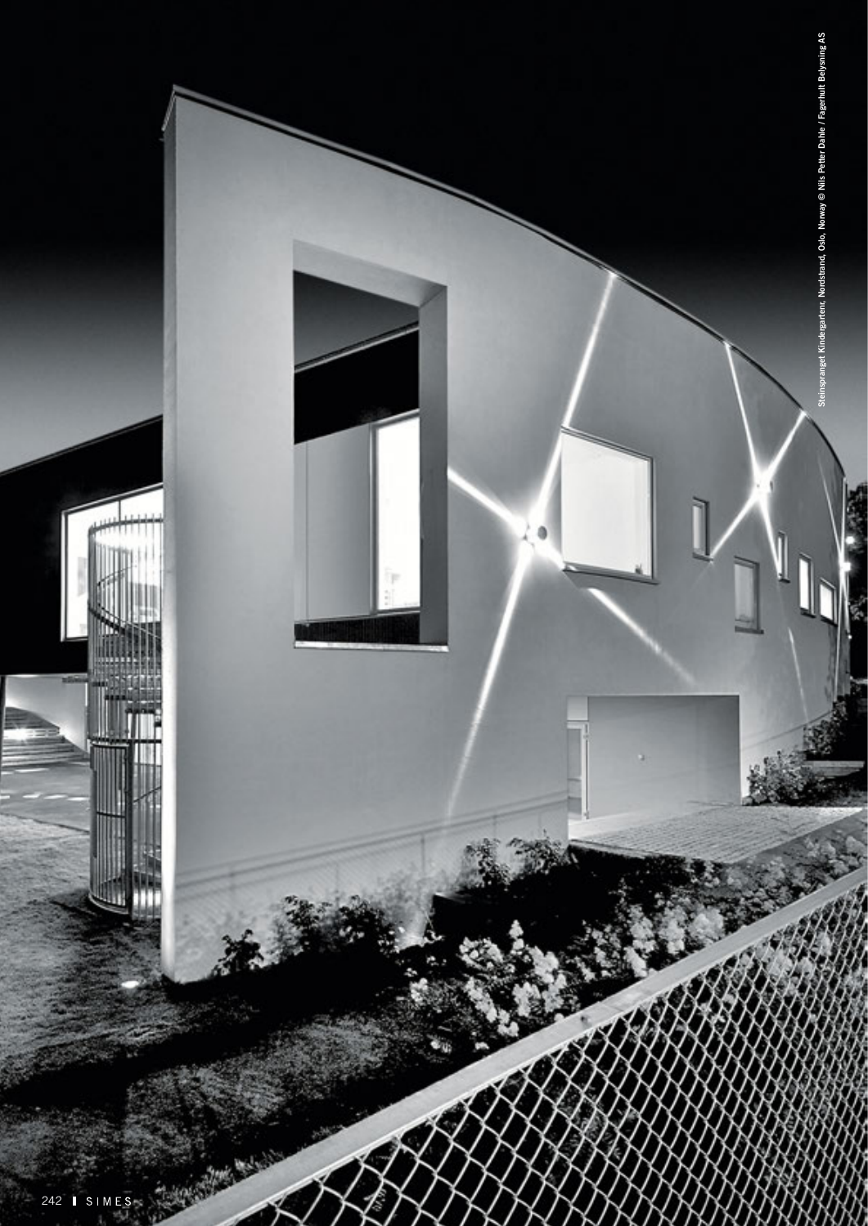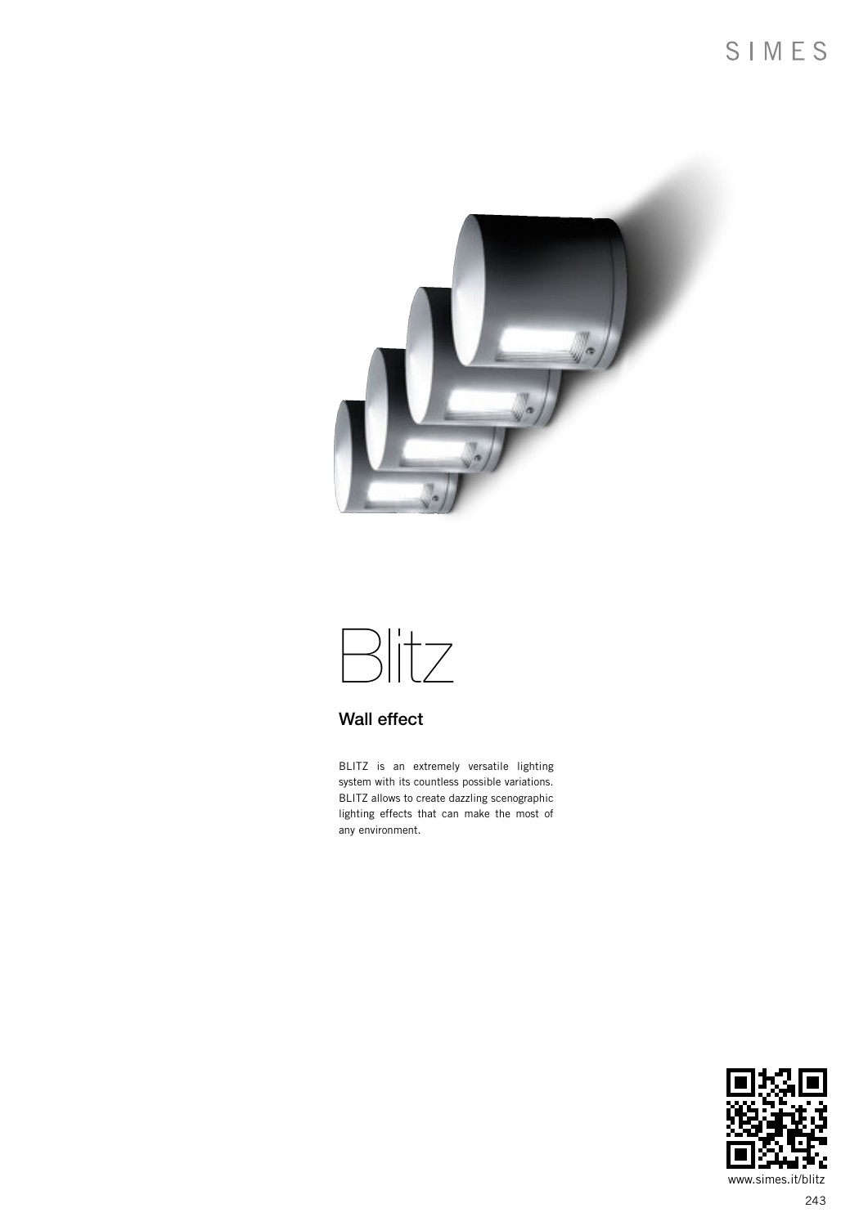

# Blitz

### Wall effect

BLITZ is an extremely versatile lighting system with its countless possible variations. BLITZ allows to create dazzling scenographic lighting effects that can make the most of any environment.

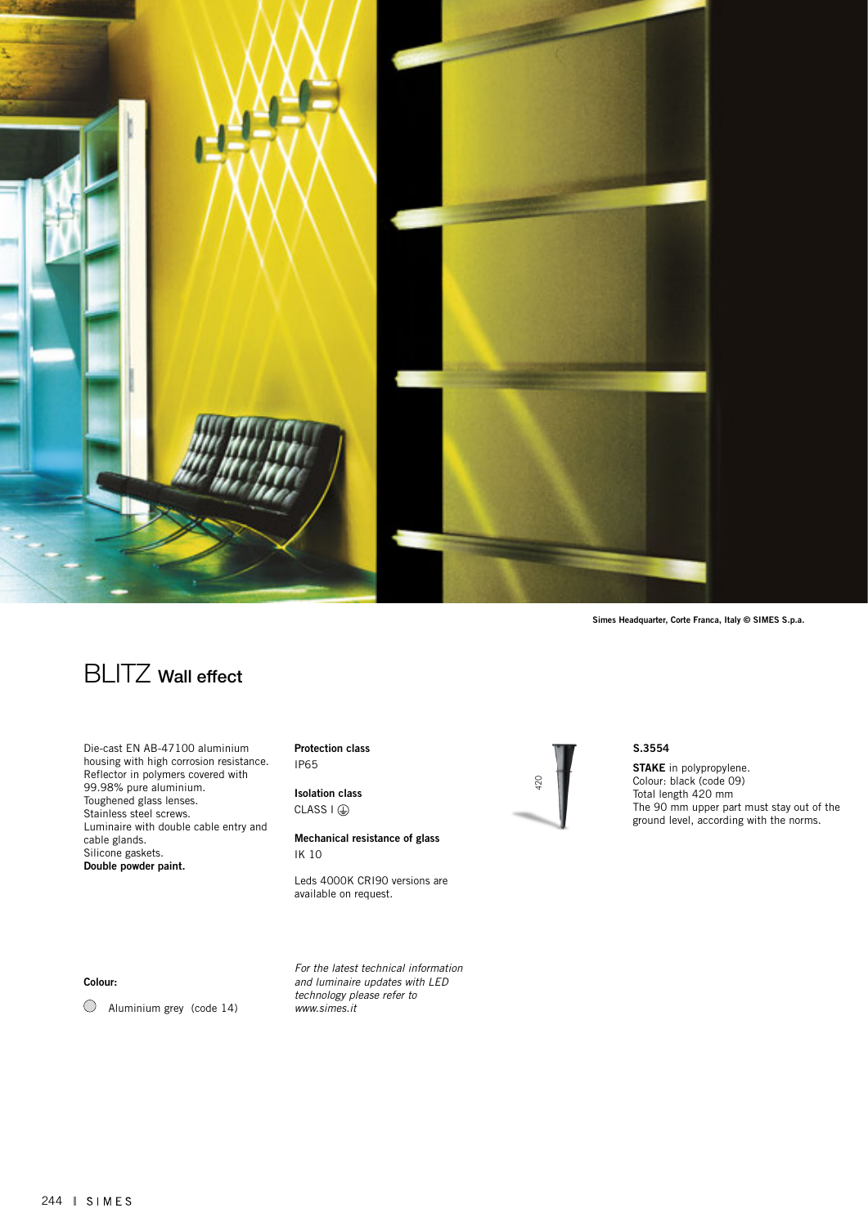

Simes Headquarter, Corte Franca, Italy © SIMES S.p.a.

## **BLITZ** Wall effect

Die-cast EN AB-47100 aluminium housing with high corrosion resistance. Reflector in polymers covered with 99.98% pure aluminium. Toughened glass lenses. Stainless steel screws. Luminaire with double cable entry and cable glands. Silicone gaskets. Double powder paint.

Protection class IP65

Isolation class CLASS  $I(\mathcal{D})$ 

Mechanical resistance of glass IK 10

Leds 4000K CRI90 versions are available on request.

Colour:

 $\bigcirc$  Aluminium grey (code 14)

*For the latest technical information and luminaire updates with LED technology please refer to www.simes.it* 



#### S.3554

STAKE in polypropylene. Colour: black (code 09) Total length 420 mm The 90 mm upper part must stay out of the ground level, according with the norms.